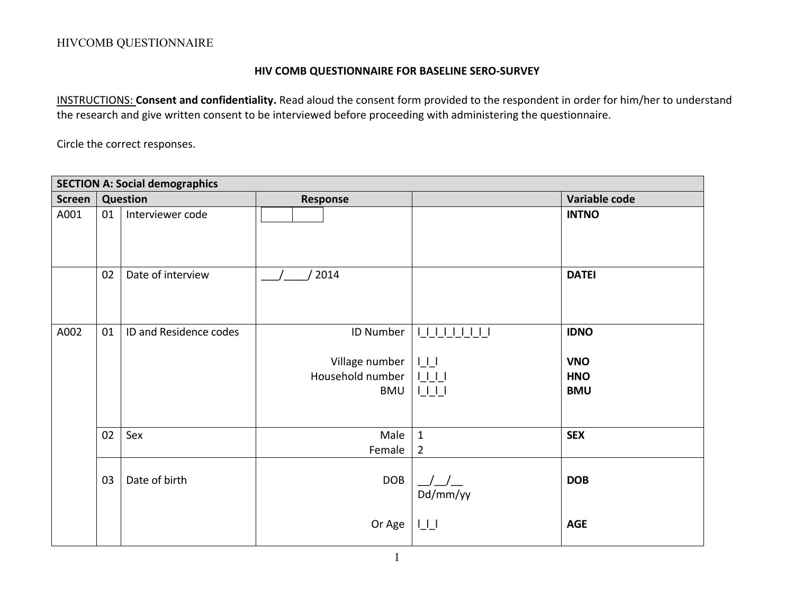#### **HIV COMB QUESTIONNAIRE FOR BASELINE SERO-SURVEY**

INSTRUCTIONS: **Consent and confidentiality.** Read aloud the consent form provided to the respondent in order for him/her to understand the research and give written consent to be interviewed before proceeding with administering the questionnaire.

Circle the correct responses.

|               | <b>SECTION A: Social demographics</b> |                        |                                                        |                                                           |                                                       |  |  |
|---------------|---------------------------------------|------------------------|--------------------------------------------------------|-----------------------------------------------------------|-------------------------------------------------------|--|--|
| <b>Screen</b> | <b>Question</b>                       |                        | <b>Response</b>                                        |                                                           | Variable code                                         |  |  |
| A001          | 01                                    | Interviewer code       |                                                        |                                                           | <b>INTNO</b>                                          |  |  |
|               | 02                                    | Date of interview      | 2014                                                   |                                                           | <b>DATEI</b>                                          |  |  |
| A002          | 01                                    | ID and Residence codes | ID Number<br>Village number<br>Household number<br>BMU | 111111111<br>$L_{\perp}$<br>1111<br>$\bigsqcup \bigsqcup$ | <b>IDNO</b><br><b>VNO</b><br><b>HNO</b><br><b>BMU</b> |  |  |
|               | 02                                    | Sex                    | Male<br>Female                                         | $\mathbf{1}$<br>$\overline{2}$                            | <b>SEX</b>                                            |  |  |
|               | 03                                    | Date of birth          | <b>DOB</b>                                             | Dd/mm/yy                                                  | <b>DOB</b>                                            |  |  |
|               |                                       |                        | Or Age                                                 | $\sqcup\sqcup$                                            | <b>AGE</b>                                            |  |  |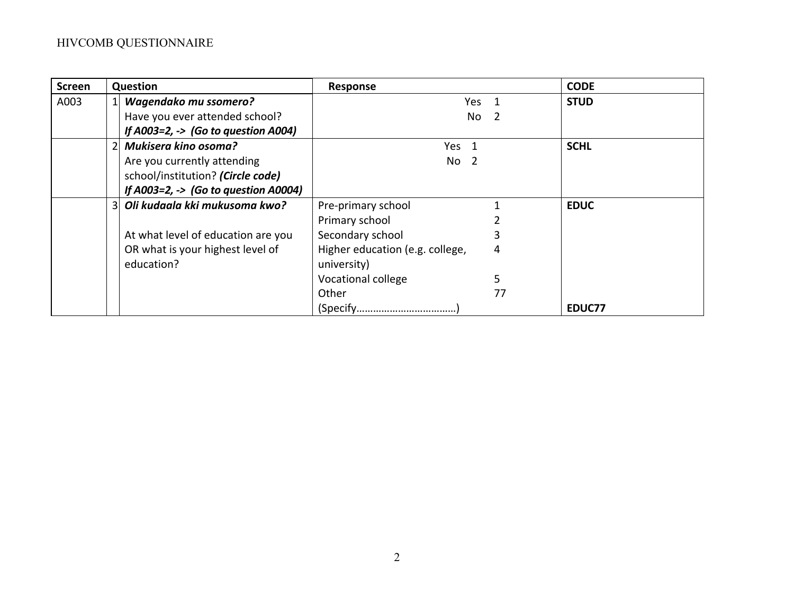| <b>Screen</b> |                | Question                                       | <b>Response</b>                 |       | <b>CODE</b> |
|---------------|----------------|------------------------------------------------|---------------------------------|-------|-------------|
| A003          |                | <b>Wagendako mu ssomero?</b>                   |                                 | Yes 1 | <b>STUD</b> |
|               |                | Have you ever attended school?                 | No                              |       |             |
|               |                | If A003=2, $\rightarrow$ (Go to question A004) |                                 |       |             |
|               |                | Mukisera kino osoma?                           | Yes 1                           |       | <b>SCHL</b> |
|               |                | Are you currently attending                    | No <sub>2</sub>                 |       |             |
|               |                | school/institution? (Circle code)              |                                 |       |             |
|               |                | If A003=2, -> (Go to question A0004)           |                                 |       |             |
|               | $\overline{3}$ | Oli kudaala kki mukusoma kwo?                  | Pre-primary school              |       | <b>EDUC</b> |
|               |                |                                                | Primary school                  |       |             |
|               |                | At what level of education are you             | Secondary school                |       |             |
|               |                | OR what is your highest level of               | Higher education (e.g. college, | 4     |             |
|               |                | education?                                     | university)                     |       |             |
|               |                |                                                | Vocational college              |       |             |
|               |                |                                                | Other                           | 77    |             |
|               |                |                                                |                                 |       | EDUC77      |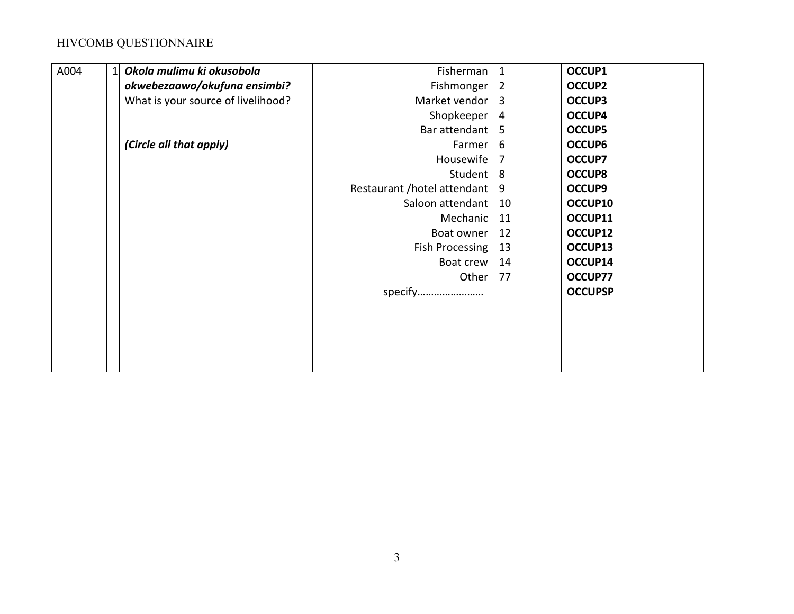| A004 | Okola mulimu ki okusobola          | Fisherman                   | $\mathbf{1}$   | OCCUP1         |
|------|------------------------------------|-----------------------------|----------------|----------------|
|      | okwebezaawo/okufuna ensimbi?       | Fishmonger                  | $\overline{2}$ | <b>OCCUP2</b>  |
|      | What is your source of livelihood? | Market vendor 3             |                | <b>OCCUP3</b>  |
|      |                                    | Shopkeeper                  | $\overline{4}$ | OCCUP4         |
|      |                                    | Bar attendant 5             |                | <b>OCCUP5</b>  |
|      | (Circle all that apply)            | Farmer 6                    |                | OCCUP6         |
|      |                                    | Housewife                   | 7              | <b>OCCUP7</b>  |
|      |                                    | Student 8                   |                | <b>OCCUP8</b>  |
|      |                                    | Restaurant /hotel attendant | 9              | <b>OCCUP9</b>  |
|      |                                    | Saloon attendant            | 10             | OCCUP10        |
|      |                                    | Mechanic                    | 11             | OCCUP11        |
|      |                                    | Boat owner                  | 12             | OCCUP12        |
|      |                                    | Fish Processing             | 13             | OCCUP13        |
|      |                                    | Boat crew                   | 14             | OCCUP14        |
|      |                                    | Other                       | - 77           | OCCUP77        |
|      |                                    | specify                     |                | <b>OCCUPSP</b> |
|      |                                    |                             |                |                |
|      |                                    |                             |                |                |
|      |                                    |                             |                |                |
|      |                                    |                             |                |                |
|      |                                    |                             |                |                |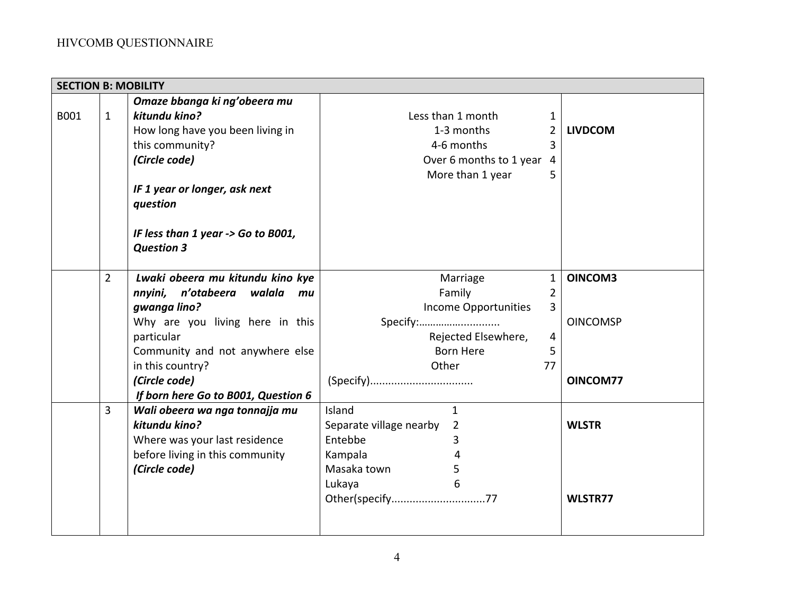| <b>SECTION B: MOBILITY</b> |                |                                                         |                                           |                |                 |
|----------------------------|----------------|---------------------------------------------------------|-------------------------------------------|----------------|-----------------|
|                            |                | Omaze bbanga ki ng'obeera mu                            |                                           |                |                 |
| B001                       | $\mathbf{1}$   | kitundu kino?                                           | Less than 1 month                         | $\mathbf 1$    |                 |
|                            |                | How long have you been living in                        | 1-3 months                                | $\overline{2}$ | <b>LIVDCOM</b>  |
|                            |                | this community?                                         | 4-6 months                                | 3              |                 |
|                            |                | (Circle code)                                           | Over 6 months to 1 year 4                 |                |                 |
|                            |                |                                                         | More than 1 year                          | 5              |                 |
|                            |                | IF 1 year or longer, ask next<br>question               |                                           |                |                 |
|                            |                | IF less than 1 year -> Go to B001,<br><b>Question 3</b> |                                           |                |                 |
|                            | $\overline{2}$ | Lwaki obeera mu kitundu kino kye                        | Marriage                                  | $\mathbf{1}$   | OINCOM3         |
|                            |                | nnyini, n'otabeera walala mu                            | Family                                    | 2              |                 |
|                            |                | gwanga lino?                                            | <b>Income Opportunities</b>               | 3              |                 |
|                            |                | Why are you living here in this                         | Specify:                                  |                | <b>OINCOMSP</b> |
|                            |                | particular                                              | Rejected Elsewhere,                       | 4              |                 |
|                            |                | Community and not anywhere else                         | <b>Born Here</b>                          | 5              |                 |
|                            |                | in this country?                                        | Other                                     | 77             |                 |
|                            |                | (Circle code)                                           | (Specify)                                 |                | OINCOM77        |
|                            |                | If born here Go to B001, Question 6                     |                                           |                |                 |
|                            | 3              | Wali obeera wa nga tonnajja mu                          | $\mathbf{1}$<br>Island                    |                |                 |
|                            |                | kitundu kino?                                           | Separate village nearby<br>$\overline{2}$ |                | <b>WLSTR</b>    |
|                            |                | Where was your last residence                           | Entebbe<br>3                              |                |                 |
|                            |                | before living in this community                         | Kampala<br>4                              |                |                 |
|                            |                | (Circle code)                                           | Masaka town<br>5                          |                |                 |
|                            |                |                                                         | Lukaya<br>6                               |                |                 |
|                            |                |                                                         | Other(specify77                           |                | WLSTR77         |
|                            |                |                                                         |                                           |                |                 |
|                            |                |                                                         |                                           |                |                 |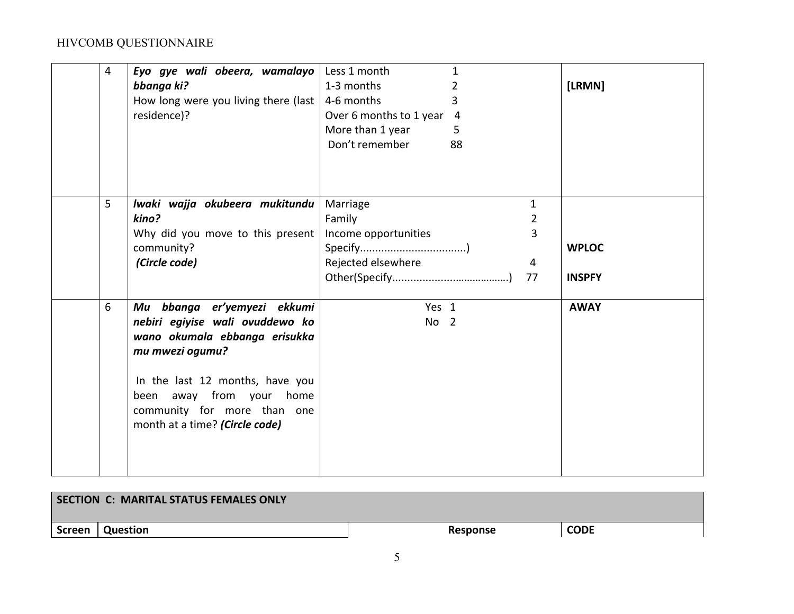| 4 | Eyo gye wali obeera, wamalayo<br>bbanga ki?<br>How long were you living there (last  <br>residence)?                                                                                                                                               | Less 1 month<br>1<br>1-3 months<br>2<br>4-6 months<br>3<br>Over 6 months to 1 year 4<br>More than 1 year<br>5<br>Don't remember<br>88 | [LRMN]                        |
|---|----------------------------------------------------------------------------------------------------------------------------------------------------------------------------------------------------------------------------------------------------|---------------------------------------------------------------------------------------------------------------------------------------|-------------------------------|
| 5 | lwaki wajja okubeera mukitundu<br>kino?<br>Why did you move to this present<br>community?<br>(Circle code)                                                                                                                                         | $\mathbf{1}$<br>Marriage<br>Family<br>2<br>3<br>Income opportunities<br>Rejected elsewhere<br>4<br>77                                 | <b>WPLOC</b><br><b>INSPFY</b> |
| 6 | Mu bbanga er'yemyezi ekkumi<br>nebiri egiyise wali ovuddewo ko<br>wano okumala ebbanga erisukka<br>mu mwezi ogumu?<br>In the last 12 months, have you<br>been away from your home<br>community for more than one<br>month at a time? (Circle code) | Yes 1<br>No <sub>2</sub>                                                                                                              | <b>AWAY</b>                   |

|        | <b>SECTION C: MARITAL STATUS FEMALES ONLY</b> |          |             |
|--------|-----------------------------------------------|----------|-------------|
| Screen | Question                                      | Response | <b>CODE</b> |
|        |                                               |          |             |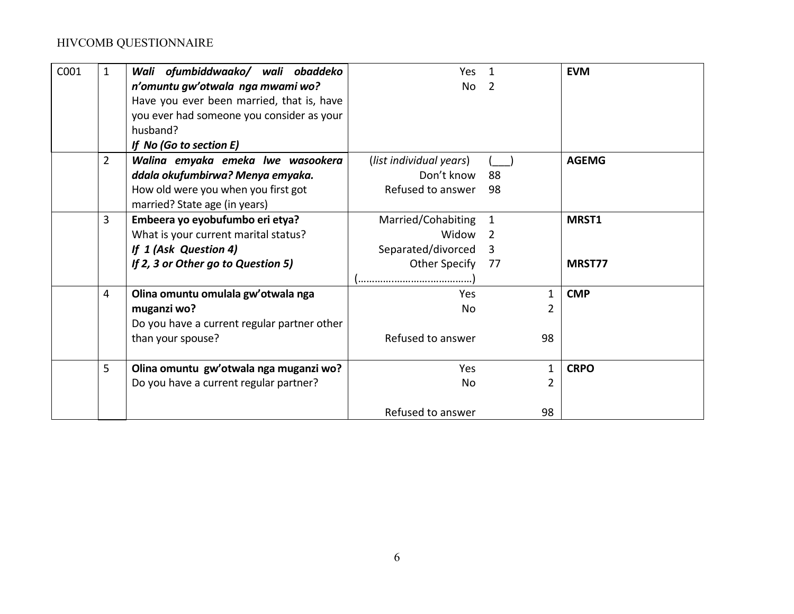| C001 | $\mathbf{1}$   | Wali ofumbiddwaako/ wali obaddeko           | Yes                     |     | <b>EVM</b>   |
|------|----------------|---------------------------------------------|-------------------------|-----|--------------|
|      |                | n'omuntu gw'otwala nga mwami wo?            | <b>No</b>               | - 2 |              |
|      |                | Have you ever been married, that is, have   |                         |     |              |
|      |                | you ever had someone you consider as your   |                         |     |              |
|      |                | husband?                                    |                         |     |              |
|      |                | If No (Go to section E)                     |                         |     |              |
|      | $\overline{2}$ | Walina emyaka emeka lwe wasookera           | (list individual years) |     | <b>AGEMG</b> |
|      |                | ddala okufumbirwa? Menya emyaka.            | Don't know              | -88 |              |
|      |                | How old were you when you first got         | Refused to answer       | 98  |              |
|      |                | married? State age (in years)               |                         |     |              |
|      | 3              | Embeera yo eyobufumbo eri etya?             | Married/Cohabiting      | 1   | MRST1        |
|      |                | What is your current marital status?        | Widow                   | 2   |              |
|      |                | If 1 (Ask Question 4)                       | Separated/divorced      | 3   |              |
|      |                | If 2, 3 or Other go to Question 5)          | Other Specify           | -77 | MRST77       |
|      |                |                                             |                         |     |              |
|      | 4              | Olina omuntu omulala gw'otwala nga          | Yes.                    | 1   | <b>CMP</b>   |
|      |                | muganzi wo?                                 | No.                     | 2   |              |
|      |                | Do you have a current regular partner other |                         |     |              |
|      |                | than your spouse?                           | Refused to answer       | 98  |              |
|      | 5              | Olina omuntu gw'otwala nga muganzi wo?      | Yes                     | 1   | <b>CRPO</b>  |
|      |                | Do you have a current regular partner?      | No.                     | 2   |              |
|      |                |                                             | Refused to answer       | 98  |              |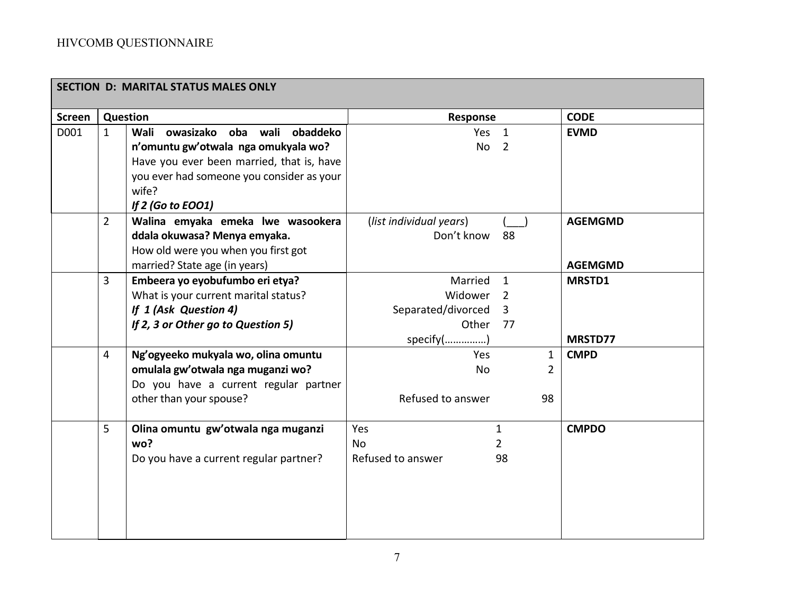|               |                | <b>SECTION D: MARITAL STATUS MALES ONLY</b> |                         |               |                |
|---------------|----------------|---------------------------------------------|-------------------------|---------------|----------------|
| <b>Screen</b> |                | <b>Question</b>                             | Response                |               | <b>CODE</b>    |
| D001          | $\mathbf{1}$   | Wali owasizako oba wali obaddeko            | Yes <sub>1</sub>        |               | <b>EVMD</b>    |
|               |                | n'omuntu gw'otwala nga omukyala wo?         | No <sub>2</sub>         |               |                |
|               |                | Have you ever been married, that is, have   |                         |               |                |
|               |                | you ever had someone you consider as your   |                         |               |                |
|               |                | wife?                                       |                         |               |                |
|               |                | If 2 (Go to EOO1)                           |                         |               |                |
|               | $\overline{2}$ | Walina emyaka emeka lwe wasookera           | (list individual years) |               | <b>AGEMGMD</b> |
|               |                | ddala okuwasa? Menya emyaka.                | Don't know              | 88            |                |
|               |                | How old were you when you first got         |                         |               |                |
|               |                | married? State age (in years)               |                         |               | <b>AGEMGMD</b> |
|               | $\overline{3}$ | Embeera yo eyobufumbo eri etya?             | Married                 | $\mathbf{1}$  | <b>MRSTD1</b>  |
|               |                | What is your current marital status?        | Widower                 | 2             |                |
|               |                | If 1 (Ask Question 4)                       | Separated/divorced 3    |               |                |
|               |                | If 2, 3 or Other go to Question 5)          | Other                   | 77            |                |
|               |                |                                             | specify()               |               | MRSTD77        |
|               | 4              | Ng'ogyeeko mukyala wo, olina omuntu         | Yes                     | $\mathbf{1}$  | <b>CMPD</b>    |
|               |                | omulala gw'otwala nga muganzi wo?           | <b>No</b>               | $\mathcal{P}$ |                |
|               |                | Do you have a current regular partner       |                         |               |                |
|               |                | other than your spouse?                     | Refused to answer       | 98            |                |
|               |                |                                             |                         |               |                |
|               | 5              | Olina omuntu gw'otwala nga muganzi          | Yes                     | $\mathbf{1}$  | <b>CMPDO</b>   |
|               |                | wo?                                         | <b>No</b>               | 2             |                |
|               |                | Do you have a current regular partner?      | Refused to answer       | 98            |                |
|               |                |                                             |                         |               |                |
|               |                |                                             |                         |               |                |
|               |                |                                             |                         |               |                |
|               |                |                                             |                         |               |                |
|               |                |                                             |                         |               |                |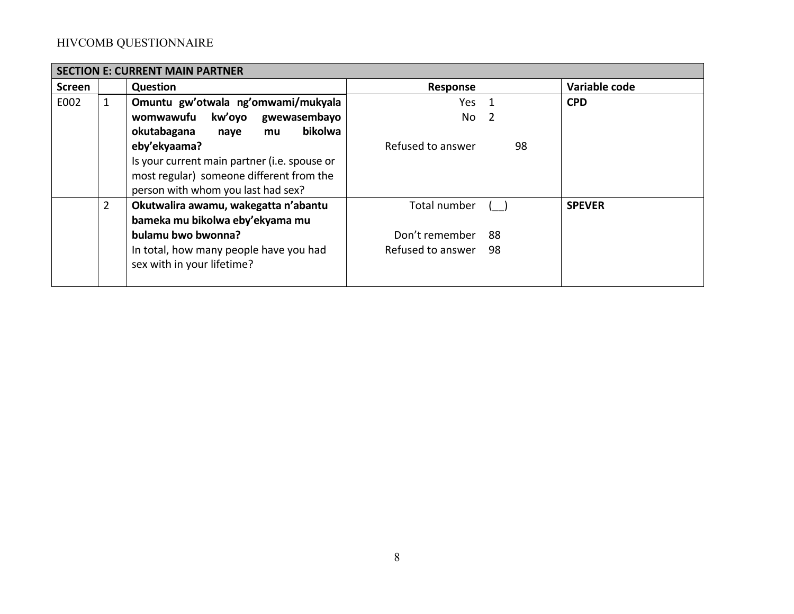|               | <b>SECTION E: CURRENT MAIN PARTNER</b> |                                              |                   |     |    |               |  |
|---------------|----------------------------------------|----------------------------------------------|-------------------|-----|----|---------------|--|
| <b>Screen</b> |                                        | <b>Question</b>                              | Response          |     |    | Variable code |  |
| E002          | $\mathbf{1}$                           | Omuntu gw'otwala ng'omwami/mukyala           | Yes               |     |    | <b>CPD</b>    |  |
|               |                                        | kw'oyo<br>womwawufu<br>gwewasembayo          | No                | - 2 |    |               |  |
|               |                                        | bikolwa<br>okutabagana<br>naye<br>mu         |                   |     |    |               |  |
|               |                                        | eby'ekyaama?                                 | Refused to answer |     | 98 |               |  |
|               |                                        | Is your current main partner (i.e. spouse or |                   |     |    |               |  |
|               |                                        | most regular) someone different from the     |                   |     |    |               |  |
|               |                                        | person with whom you last had sex?           |                   |     |    |               |  |
|               | $\overline{2}$                         | Okutwalira awamu, wakegatta n'abantu         | Total number      |     |    | <b>SPEVER</b> |  |
|               |                                        | bameka mu bikolwa eby'ekyama mu              |                   |     |    |               |  |
|               |                                        | bulamu bwo bwonna?                           | Don't remember    | 88  |    |               |  |
|               |                                        | In total, how many people have you had       | Refused to answer | 98  |    |               |  |
|               |                                        | sex with in your lifetime?                   |                   |     |    |               |  |
|               |                                        |                                              |                   |     |    |               |  |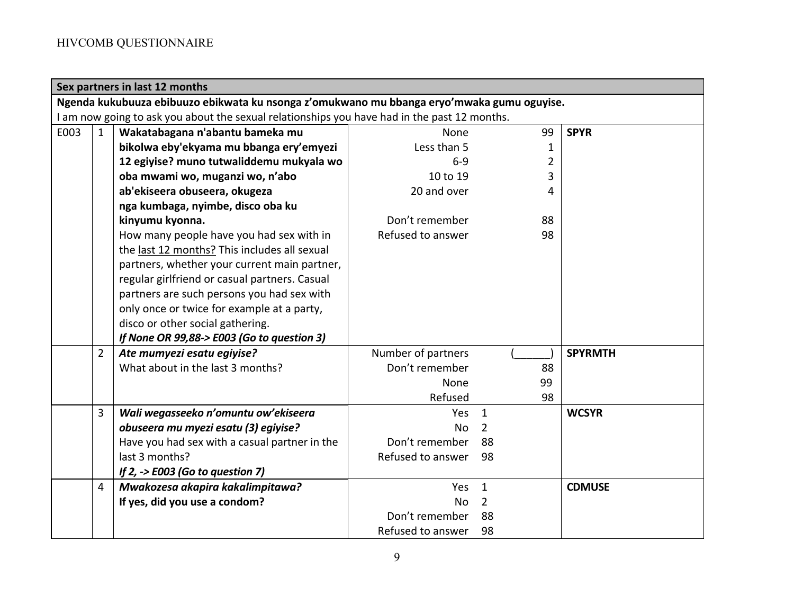|      | Sex partners in last 12 months                                                               |                                               |                    |                |              |                |  |  |  |
|------|----------------------------------------------------------------------------------------------|-----------------------------------------------|--------------------|----------------|--------------|----------------|--|--|--|
|      | Ngenda kukubuuza ebibuuzo ebikwata ku nsonga z'omukwano mu bbanga eryo'mwaka gumu oguyise.   |                                               |                    |                |              |                |  |  |  |
|      | I am now going to ask you about the sexual relationships you have had in the past 12 months. |                                               |                    |                |              |                |  |  |  |
| E003 | $\mathbf{1}$                                                                                 | Wakatabagana n'abantu bameka mu               | <b>None</b>        |                | 99           | <b>SPYR</b>    |  |  |  |
|      |                                                                                              | bikolwa eby'ekyama mu bbanga ery'emyezi       | Less than 5        |                | $\mathbf{1}$ |                |  |  |  |
|      |                                                                                              | 12 egiyise? muno tutwaliddemu mukyala wo      | $6 - 9$            |                | 2            |                |  |  |  |
|      |                                                                                              | oba mwami wo, muganzi wo, n'abo               | 10 to 19           |                | 3            |                |  |  |  |
|      |                                                                                              | ab'ekiseera obuseera, okugeza                 | 20 and over        |                | 4            |                |  |  |  |
|      |                                                                                              | nga kumbaga, nyimbe, disco oba ku             |                    |                |              |                |  |  |  |
|      |                                                                                              | kinyumu kyonna.                               | Don't remember     |                | 88           |                |  |  |  |
|      |                                                                                              | How many people have you had sex with in      | Refused to answer  |                | 98           |                |  |  |  |
|      |                                                                                              | the last 12 months? This includes all sexual  |                    |                |              |                |  |  |  |
|      |                                                                                              | partners, whether your current main partner,  |                    |                |              |                |  |  |  |
|      |                                                                                              | regular girlfriend or casual partners. Casual |                    |                |              |                |  |  |  |
|      |                                                                                              | partners are such persons you had sex with    |                    |                |              |                |  |  |  |
|      |                                                                                              | only once or twice for example at a party,    |                    |                |              |                |  |  |  |
|      |                                                                                              | disco or other social gathering.              |                    |                |              |                |  |  |  |
|      |                                                                                              | If None OR 99,88-> E003 (Go to question 3)    |                    |                |              |                |  |  |  |
|      | $\overline{2}$                                                                               | Ate mumyezi esatu egiyise?                    | Number of partners |                |              | <b>SPYRMTH</b> |  |  |  |
|      |                                                                                              | What about in the last 3 months?              | Don't remember     |                | 88           |                |  |  |  |
|      |                                                                                              |                                               | None               |                | 99           |                |  |  |  |
|      |                                                                                              |                                               | Refused            |                | 98           |                |  |  |  |
|      | $\overline{3}$                                                                               | Wali wegasseeko n'omuntu ow'ekiseera          | Yes                | $\mathbf{1}$   |              | <b>WCSYR</b>   |  |  |  |
|      |                                                                                              | obuseera mu myezi esatu (3) egiyise?          | <b>No</b>          | $\overline{2}$ |              |                |  |  |  |
|      |                                                                                              | Have you had sex with a casual partner in the | Don't remember     | 88             |              |                |  |  |  |
|      |                                                                                              | last 3 months?                                | Refused to answer  | 98             |              |                |  |  |  |
|      |                                                                                              | If 2, $\rightarrow$ E003 (Go to question 7)   |                    |                |              |                |  |  |  |
|      | 4                                                                                            | Mwakozesa akapira kakalimpitawa?              | Yes                | 1              |              | <b>CDMUSE</b>  |  |  |  |
|      |                                                                                              | If yes, did you use a condom?                 | N <sub>o</sub>     | 2              |              |                |  |  |  |
|      |                                                                                              |                                               | Don't remember     | 88             |              |                |  |  |  |
|      |                                                                                              |                                               | Refused to answer  | 98             |              |                |  |  |  |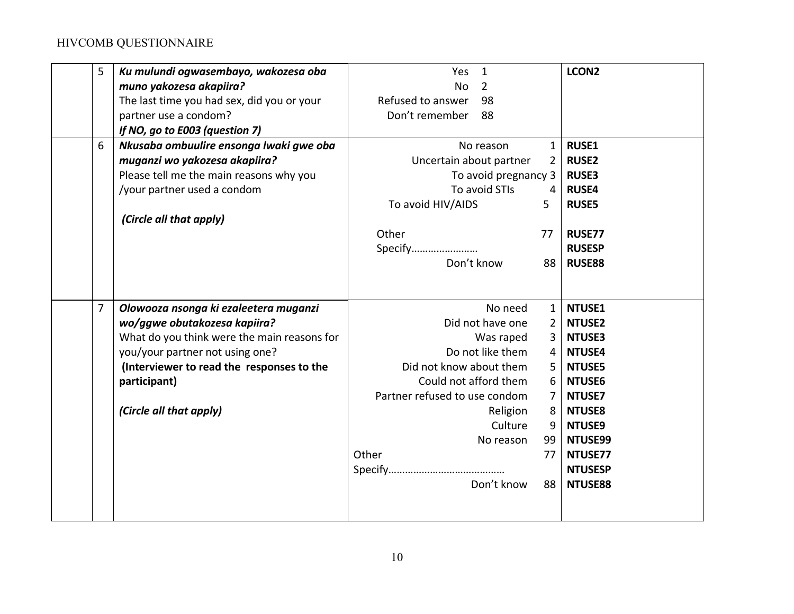| 5<br>Ku mulundi ogwasembayo, wakozesa oba<br>muno yakozesa akapiira?<br>The last time you had sex, did you or your<br>partner use a condom?<br>If NO, go to E003 (question 7)                                                                                     | Yes<br>$\mathbf{1}$<br><b>No</b><br>2<br>Refused to answer<br>98<br>Don't remember<br>88                                                                                                                     | LCON <sub>2</sub>                                                                                                                                                                                                                                                                              |
|-------------------------------------------------------------------------------------------------------------------------------------------------------------------------------------------------------------------------------------------------------------------|--------------------------------------------------------------------------------------------------------------------------------------------------------------------------------------------------------------|------------------------------------------------------------------------------------------------------------------------------------------------------------------------------------------------------------------------------------------------------------------------------------------------|
| Nkusaba ombuulire ensonga lwaki gwe oba<br>6<br>muganzi wo yakozesa akapiira?<br>Please tell me the main reasons why you<br>/your partner used a condom<br>(Circle all that apply)                                                                                | No reason<br>Uncertain about partner<br>To avoid pregnancy 3<br>To avoid STIs<br>To avoid HIV/AIDS<br>Other<br>Specify<br>Don't know                                                                         | <b>RUSE1</b><br>$\mathbf{1}$<br><b>RUSE2</b><br>2<br><b>RUSE3</b><br><b>RUSE4</b><br>4<br>5<br><b>RUSE5</b><br><b>RUSE77</b><br>77<br><b>RUSESP</b><br><b>RUSE88</b><br>88                                                                                                                     |
| $\overline{7}$<br>Olowooza nsonga ki ezaleetera muganzi<br>wo/ggwe obutakozesa kapiira?<br>What do you think were the main reasons for<br>you/your partner not using one?<br>(Interviewer to read the responses to the<br>participant)<br>(Circle all that apply) | No need<br>Did not have one<br>Was raped<br>Do not like them<br>Did not know about them<br>Could not afford them<br>Partner refused to use condom<br>Religion<br>Culture<br>No reason<br>Other<br>Don't know | NTUSE1<br>$\mathbf{1}$<br><b>NTUSE2</b><br>$\overline{2}$<br><b>NTUSE3</b><br>3<br><b>NTUSE4</b><br>4<br><b>NTUSE5</b><br>5<br>6<br><b>NTUSE6</b><br>$\overline{7}$<br>NTUSE7<br><b>NTUSE8</b><br>8<br>9<br><b>NTUSE9</b><br>99<br>NTUSE99<br>NTUSE77<br>77<br><b>NTUSESP</b><br>88<br>NTUSE88 |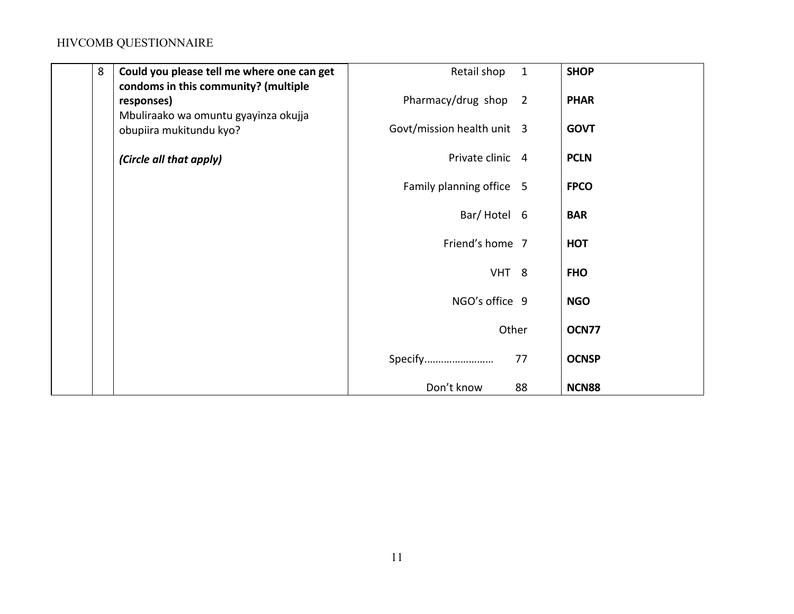| 8 | Could you please tell me where one can get                      | Retail shop                | $\mathbf{1}$ | <b>SHOP</b>  |
|---|-----------------------------------------------------------------|----------------------------|--------------|--------------|
|   | condoms in this community? (multiple<br>responses)              | Pharmacy/drug shop 2       |              | <b>PHAR</b>  |
|   | Mbuliraako wa omuntu gyayinza okujja<br>obupiira mukitundu kyo? | Govt/mission health unit 3 |              | <b>GOVT</b>  |
|   | (Circle all that apply)                                         | Private clinic 4           |              | <b>PCLN</b>  |
|   |                                                                 | Family planning office 5   |              | <b>FPCO</b>  |
|   |                                                                 | Bar/Hotel 6                |              | <b>BAR</b>   |
|   |                                                                 | Friend's home 7            |              | <b>HOT</b>   |
|   |                                                                 | VHT <sub>8</sub>           |              | <b>FHO</b>   |
|   |                                                                 | NGO's office 9             |              | <b>NGO</b>   |
|   |                                                                 | Other                      |              | OCN77        |
|   |                                                                 | Specify                    | 77           | <b>OCNSP</b> |
|   |                                                                 | Don't know                 | 88           | <b>NCN88</b> |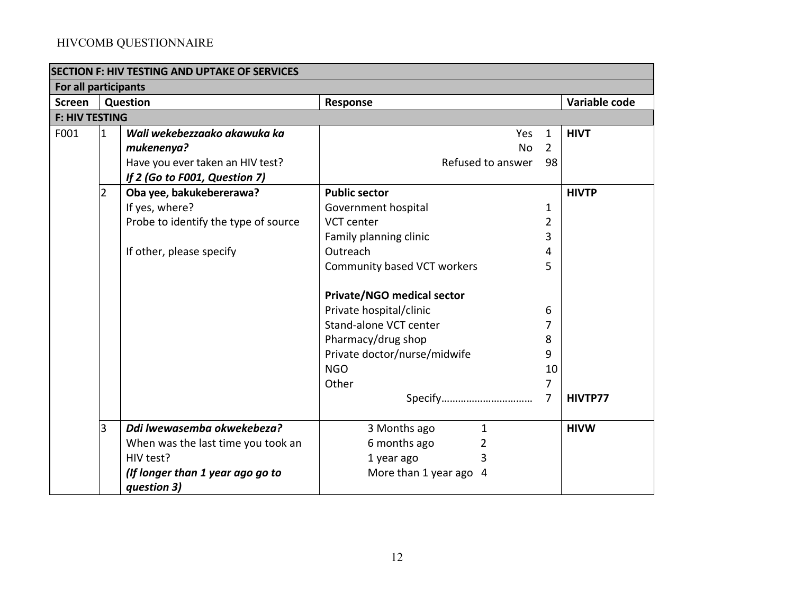| <b>SECTION F: HIV TESTING AND UPTAKE OF SERVICES</b> |                |                                      |                                                         |                |               |
|------------------------------------------------------|----------------|--------------------------------------|---------------------------------------------------------|----------------|---------------|
| For all participants                                 |                |                                      |                                                         |                |               |
| <b>Screen</b>                                        |                | Question                             | Response                                                |                | Variable code |
| <b>F: HIV TESTING</b>                                |                |                                      |                                                         |                |               |
| F001                                                 | $\mathbf{1}$   | Wali wekebezzaako akawuka ka         | <b>Yes</b>                                              |                | <b>HIVT</b>   |
|                                                      |                | mukenenya?                           | <b>No</b>                                               | $\overline{2}$ |               |
|                                                      |                | Have you ever taken an HIV test?     | Refused to answer<br>98<br><b>Public sector</b>         |                |               |
|                                                      |                | If 2 (Go to F001, Question 7)        |                                                         |                |               |
|                                                      | $\overline{2}$ | Oba yee, bakukebererawa?             |                                                         |                | <b>HIVTP</b>  |
|                                                      |                | If yes, where?                       | Government hospital                                     |                |               |
|                                                      |                | Probe to identify the type of source | <b>VCT</b> center<br>Family planning clinic<br>Outreach |                |               |
|                                                      |                |                                      |                                                         |                |               |
|                                                      |                | If other, please specify             |                                                         |                |               |
|                                                      |                |                                      | Community based VCT workers                             |                |               |
|                                                      |                |                                      |                                                         |                |               |
|                                                      |                |                                      | <b>Private/NGO medical sector</b>                       |                |               |
|                                                      |                |                                      | Private hospital/clinic                                 | 6              |               |
|                                                      |                |                                      | Stand-alone VCT center                                  |                |               |
|                                                      |                |                                      | Pharmacy/drug shop                                      | 8              |               |
|                                                      |                |                                      | Private doctor/nurse/midwife                            | 9              |               |
|                                                      |                |                                      | <b>NGO</b>                                              | 10             |               |
|                                                      |                |                                      | Other                                                   | 7              |               |
|                                                      |                |                                      |                                                         |                | HIVTP77       |
|                                                      | 3              | Ddi lwewasemba okwekebeza?           | 3 Months ago<br>$\mathbf{1}$                            |                | <b>HIVW</b>   |
|                                                      |                | When was the last time you took an   | 6 months ago<br>2                                       |                |               |
|                                                      |                | HIV test?                            | 1 year ago<br>3                                         |                |               |
|                                                      |                | (If longer than 1 year ago go to     | More than 1 year ago 4                                  |                |               |
|                                                      |                | question 3)                          |                                                         |                |               |
|                                                      |                |                                      |                                                         |                |               |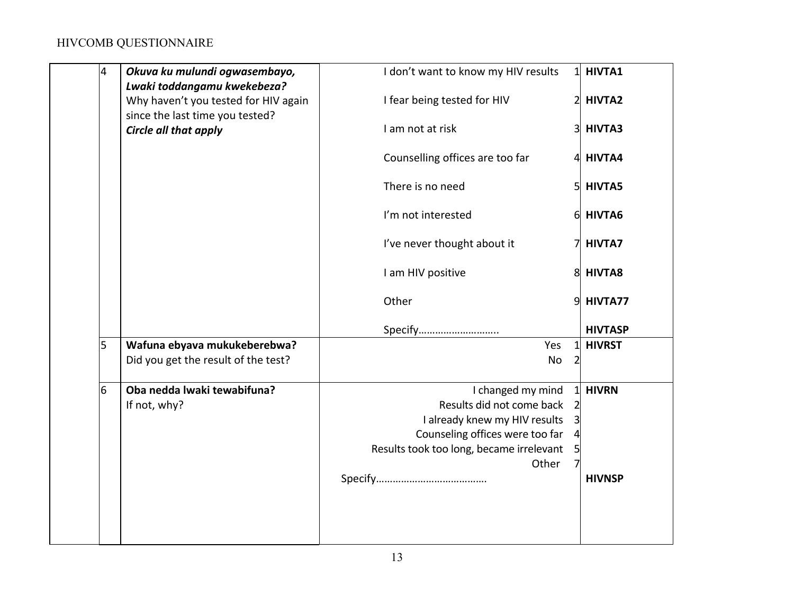| 4 | Okuva ku mulundi ogwasembayo,<br>Lwaki toddangamu kwekebeza?            | I don't want to know my HIV results      | 11             | <b>HIVTA1</b>  |
|---|-------------------------------------------------------------------------|------------------------------------------|----------------|----------------|
|   | Why haven't you tested for HIV again<br>since the last time you tested? | I fear being tested for HIV              |                | <b>HIVTA2</b>  |
|   | Circle all that apply                                                   | I am not at risk                         | 31             | HIVTA3         |
|   |                                                                         | Counselling offices are too far          |                | 4 HIVTA4       |
|   |                                                                         | There is no need                         | 51             | <b>HIVTA5</b>  |
|   |                                                                         | I'm not interested                       | 6              | HIVTA6         |
|   |                                                                         | I've never thought about it              |                | <b>HIVTA7</b>  |
|   |                                                                         | I am HIV positive                        | 8              | <b>HIVTA8</b>  |
|   |                                                                         | Other                                    | 9              | HIVTA77        |
|   |                                                                         | Specify                                  |                | <b>HIVTASP</b> |
| 5 | Wafuna ebyava mukukeberebwa?                                            | Yes                                      |                | <b>HIVRST</b>  |
|   | Did you get the result of the test?                                     | No                                       | $\overline{2}$ |                |
| 6 | Oba nedda lwaki tewabifuna?                                             | I changed my mind                        |                | <b>HIVRN</b>   |
|   | If not, why?                                                            | Results did not come back                |                |                |
|   |                                                                         | I already knew my HIV results            |                |                |
|   |                                                                         | Counseling offices were too far          |                |                |
|   |                                                                         | Results took too long, became irrelevant |                |                |
|   |                                                                         | Other                                    |                | <b>HIVNSP</b>  |
|   |                                                                         |                                          |                |                |
|   |                                                                         |                                          |                |                |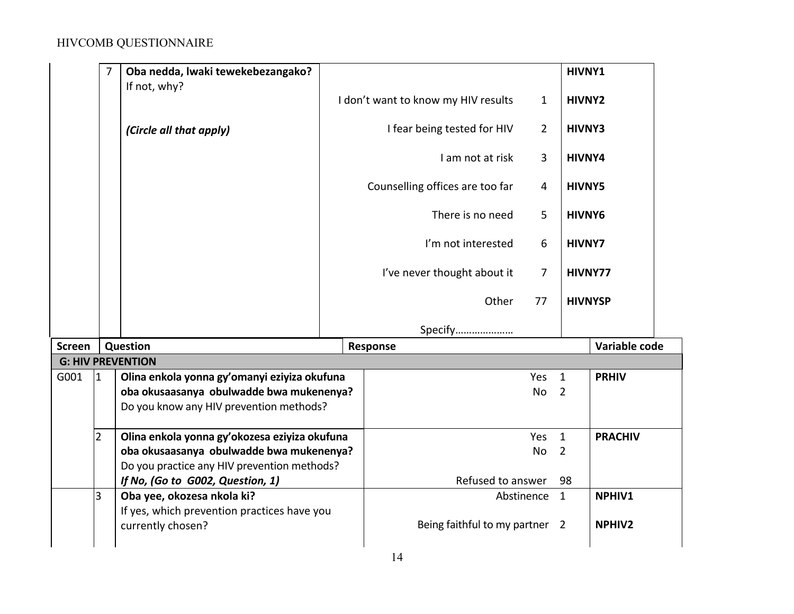|        | $\overline{7}$ | Oba nedda, lwaki tewekebezangako?<br>If not, why?                                       |                    |                                     |                | HIVNY1         |                |  |
|--------|----------------|-----------------------------------------------------------------------------------------|--------------------|-------------------------------------|----------------|----------------|----------------|--|
|        |                |                                                                                         |                    | I don't want to know my HIV results | 1              | HIVNY2         |                |  |
|        |                | (Circle all that apply)                                                                 |                    | I fear being tested for HIV         | $\overline{2}$ | <b>HIVNY3</b>  |                |  |
|        |                |                                                                                         |                    | I am not at risk                    | 3              | HIVNY4         |                |  |
|        |                |                                                                                         |                    | Counselling offices are too far     | 4              | <b>HIVNY5</b>  |                |  |
|        |                |                                                                                         |                    | There is no need                    | 5              | HIVNY6         |                |  |
|        |                |                                                                                         | I'm not interested |                                     | 6              | <b>HIVNY7</b>  |                |  |
|        |                |                                                                                         |                    | I've never thought about it         | 7              |                | HIVNY77        |  |
|        |                |                                                                                         |                    | Other                               | 77             | <b>HIVNYSP</b> |                |  |
|        |                |                                                                                         |                    | Specify                             |                |                |                |  |
| Screen |                | Question                                                                                |                    | Response                            |                |                | Variable code  |  |
|        |                | <b>G: HIV PREVENTION</b>                                                                |                    |                                     |                |                |                |  |
| G001   | $\mathbf{1}$   | Olina enkola yonna gy'omanyi eziyiza okufuna                                            |                    |                                     | Yes            | $\mathbf{1}$   | <b>PRHIV</b>   |  |
|        |                | oba okusaasanya obulwadde bwa mukenenya?<br>Do you know any HIV prevention methods?     |                    |                                     | <b>No</b>      | $\overline{2}$ |                |  |
|        | $\overline{2}$ | Olina enkola yonna gy'okozesa eziyiza okufuna                                           |                    |                                     | Yes            | $\mathbf{1}$   | <b>PRACHIV</b> |  |
|        |                | oba okusaasanya obulwadde bwa mukenenya?<br>Do you practice any HIV prevention methods? |                    |                                     | <b>No</b>      | $\overline{2}$ |                |  |
|        |                | If No, (Go to G002, Question, 1)                                                        |                    | Refused to answer                   |                | 98             |                |  |
|        | 3              | Oba yee, okozesa nkola ki?<br>If yes, which prevention practices have you               |                    |                                     | Abstinence     | $\overline{1}$ | NPHIV1         |  |
|        |                | currently chosen?                                                                       |                    | Being faithful to my partner 2      |                |                | <b>NPHIV2</b>  |  |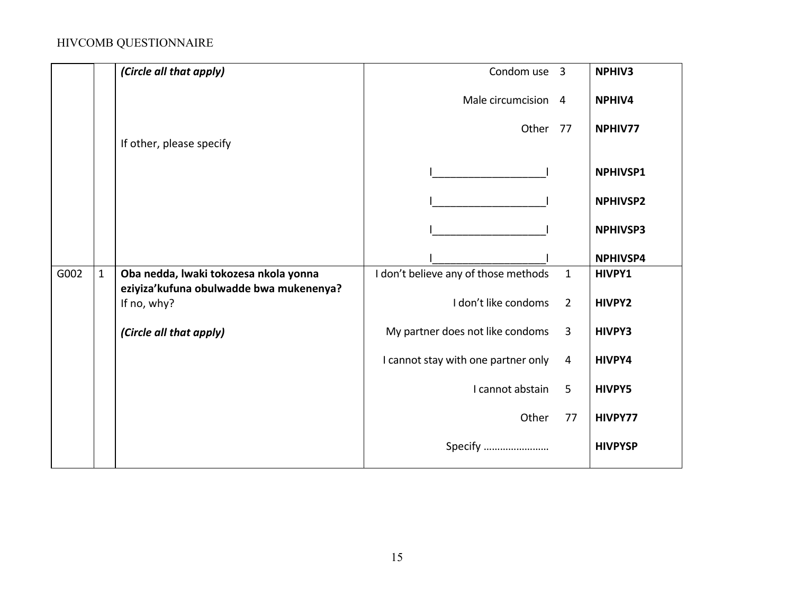|      |              | (Circle all that apply)                                                          | Condom use 3                         |                | <b>NPHIV3</b>   |
|------|--------------|----------------------------------------------------------------------------------|--------------------------------------|----------------|-----------------|
|      |              |                                                                                  | Male circumcision 4                  |                | <b>NPHIV4</b>   |
|      |              |                                                                                  | Other                                | 77             | NPHIV77         |
|      |              | If other, please specify                                                         |                                      |                |                 |
|      |              |                                                                                  |                                      |                | <b>NPHIVSP1</b> |
|      |              |                                                                                  |                                      |                | <b>NPHIVSP2</b> |
|      |              |                                                                                  |                                      |                | <b>NPHIVSP3</b> |
|      |              |                                                                                  |                                      |                | <b>NPHIVSP4</b> |
| G002 | $\mathbf{1}$ | Oba nedda, lwaki tokozesa nkola yonna<br>eziyiza'kufuna obulwadde bwa mukenenya? | I don't believe any of those methods | $\mathbf{1}$   | HIVPY1          |
|      |              | If no, why?                                                                      | I don't like condoms                 | $\overline{2}$ | <b>HIVPY2</b>   |
|      |              | (Circle all that apply)                                                          | My partner does not like condoms     | $\overline{3}$ | <b>HIVPY3</b>   |
|      |              |                                                                                  | I cannot stay with one partner only  | $\overline{4}$ | HIVPY4          |
|      |              |                                                                                  | I cannot abstain                     | 5              | <b>HIVPY5</b>   |
|      |              |                                                                                  | Other                                | 77             | HIVPY77         |
|      |              |                                                                                  | Specify                              |                | <b>HIVPYSP</b>  |
|      |              |                                                                                  |                                      |                |                 |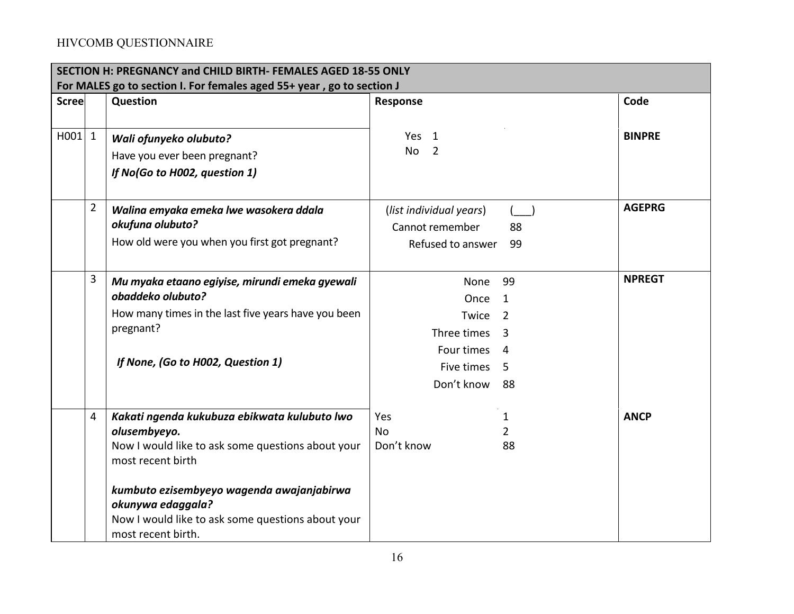|              | SECTION H: PREGNANCY and CHILD BIRTH- FEMALES AGED 18-55 ONLY<br>For MALES go to section I. For females aged 55+ year, go to section J |                                                     |                              |               |  |  |
|--------------|----------------------------------------------------------------------------------------------------------------------------------------|-----------------------------------------------------|------------------------------|---------------|--|--|
| <b>Scree</b> |                                                                                                                                        | Question                                            | Response                     | Code          |  |  |
|              |                                                                                                                                        |                                                     |                              |               |  |  |
| $H001$ 1     |                                                                                                                                        | Wali ofunyeko olubuto?                              | Yes <sub>1</sub>             | <b>BINPRE</b> |  |  |
|              |                                                                                                                                        | Have you ever been pregnant?                        | <b>No</b><br>$\overline{2}$  |               |  |  |
|              |                                                                                                                                        | If No(Go to H002, question 1)                       |                              |               |  |  |
|              |                                                                                                                                        |                                                     |                              |               |  |  |
|              | $\overline{2}$                                                                                                                         | Walina emyaka emeka lwe wasokera ddala              | (list individual years)<br>( | <b>AGEPRG</b> |  |  |
|              |                                                                                                                                        | okufuna olubuto?                                    | Cannot remember<br>88        |               |  |  |
|              |                                                                                                                                        | How old were you when you first got pregnant?       | Refused to answer<br>99      |               |  |  |
|              |                                                                                                                                        |                                                     |                              |               |  |  |
|              | 3                                                                                                                                      | Mu myaka etaano egiyise, mirundi emeka gyewali      | 99<br>None                   | <b>NPREGT</b> |  |  |
|              |                                                                                                                                        | obaddeko olubuto?                                   | Once<br>-1                   |               |  |  |
|              |                                                                                                                                        | How many times in the last five years have you been | Twice<br>2                   |               |  |  |
|              |                                                                                                                                        | pregnant?                                           | Three times<br>3             |               |  |  |
|              |                                                                                                                                        |                                                     | Four times<br>4              |               |  |  |
|              |                                                                                                                                        | If None, (Go to H002, Question 1)                   | Five times<br>.5             |               |  |  |
|              |                                                                                                                                        |                                                     | Don't know<br>88             |               |  |  |
|              |                                                                                                                                        |                                                     |                              |               |  |  |
|              | 4                                                                                                                                      | Kakati ngenda kukubuza ebikwata kulubuto lwo        | Yes<br>1                     | <b>ANCP</b>   |  |  |
|              |                                                                                                                                        | olusembyeyo.                                        | <b>No</b><br>2               |               |  |  |
|              |                                                                                                                                        | Now I would like to ask some questions about your   | Don't know<br>88             |               |  |  |
|              |                                                                                                                                        | most recent birth                                   |                              |               |  |  |
|              |                                                                                                                                        | kumbuto ezisembyeyo wagenda awajanjabirwa           |                              |               |  |  |
|              |                                                                                                                                        | okunywa edaggala?                                   |                              |               |  |  |
|              |                                                                                                                                        | Now I would like to ask some questions about your   |                              |               |  |  |
|              |                                                                                                                                        | most recent birth.                                  |                              |               |  |  |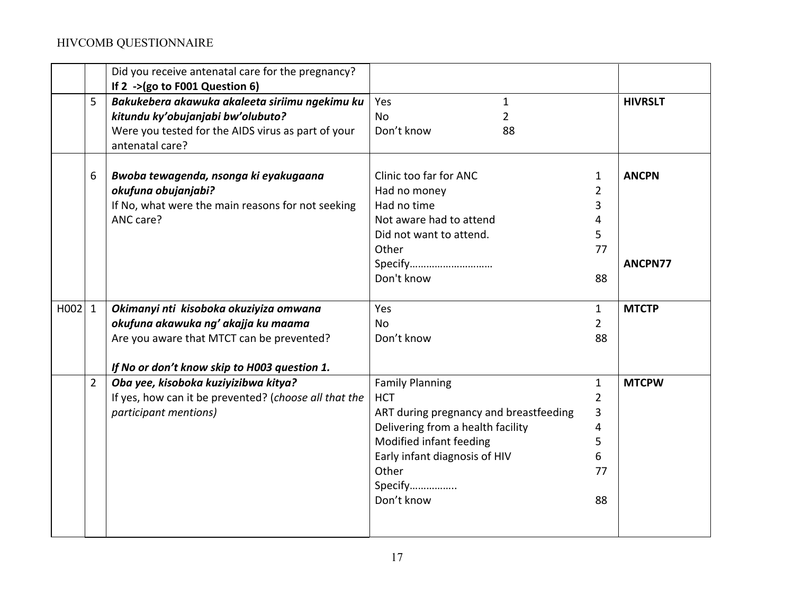|      |                | Did you receive antenatal care for the pregnancy?<br>If 2 ->(go to F001 Question 6) |                                             |                |                |
|------|----------------|-------------------------------------------------------------------------------------|---------------------------------------------|----------------|----------------|
|      | 5              |                                                                                     | Yes                                         |                |                |
|      |                | Bakukebera akawuka akaleeta siriimu ngekimu ku<br>kitundu ky'obujanjabi bw'olubuto? | $\mathbf{1}$<br><b>No</b><br>$\overline{2}$ |                | <b>HIVRSLT</b> |
|      |                | Were you tested for the AIDS virus as part of your                                  | Don't know<br>88                            |                |                |
|      |                | antenatal care?                                                                     |                                             |                |                |
|      | 6              | Bwoba tewagenda, nsonga ki eyakugaana                                               | Clinic too far for ANC                      | 1              | <b>ANCPN</b>   |
|      |                | okufuna obujanjabi?                                                                 | Had no money                                | $\overline{2}$ |                |
|      |                | If No, what were the main reasons for not seeking                                   | Had no time                                 | 3              |                |
|      |                | ANC care?                                                                           | Not aware had to attend                     | 4              |                |
|      |                |                                                                                     | Did not want to attend.                     | 5              |                |
|      |                |                                                                                     | Other                                       | 77             |                |
|      |                |                                                                                     | Specify                                     |                | ANCPN77        |
|      |                |                                                                                     | Don't know                                  | 88             |                |
|      |                |                                                                                     |                                             |                |                |
| H002 | $\mathbf{1}$   | Okimanyi nti kisoboka okuziyiza omwana                                              | Yes                                         | $\mathbf{1}$   | <b>MTCTP</b>   |
|      |                | okufuna akawuka ng' akajja ku maama                                                 | <b>No</b>                                   | $\overline{2}$ |                |
|      |                | Are you aware that MTCT can be prevented?                                           | Don't know                                  | 88             |                |
|      |                |                                                                                     |                                             |                |                |
|      |                | If No or don't know skip to H003 question 1.                                        |                                             |                |                |
|      | $\overline{2}$ | Oba yee, kisoboka kuziyizibwa kitya?                                                | <b>Family Planning</b>                      | $\mathbf{1}$   | <b>MTCPW</b>   |
|      |                | If yes, how can it be prevented? (choose all that the                               | <b>HCT</b>                                  | $\overline{2}$ |                |
|      |                | participant mentions)                                                               | ART during pregnancy and breastfeeding      | 3              |                |
|      |                |                                                                                     | Delivering from a health facility           | 4              |                |
|      |                |                                                                                     | Modified infant feeding                     | 5              |                |
|      |                |                                                                                     | Early infant diagnosis of HIV               | 6              |                |
|      |                |                                                                                     | Other                                       | 77             |                |
|      |                |                                                                                     | Specify                                     |                |                |
|      |                |                                                                                     | Don't know                                  | 88             |                |
|      |                |                                                                                     |                                             |                |                |
|      |                |                                                                                     |                                             |                |                |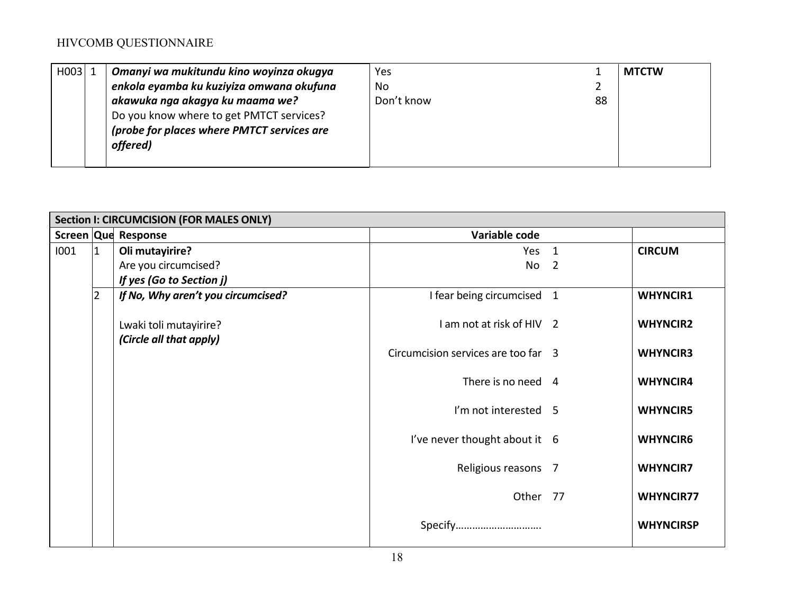| H003 | Omanyi wa mukitundu kino woyinza okugya    | Yes        |    | <b>MTCTW</b> |
|------|--------------------------------------------|------------|----|--------------|
|      | enkola eyamba ku kuziyiza omwana okufuna   | No         |    |              |
|      | akawuka nga akagya ku maama we?            | Don't know | 88 |              |
|      | Do you know where to get PMTCT services?   |            |    |              |
|      | (probe for places where PMTCT services are |            |    |              |
|      | offered)                                   |            |    |              |
|      |                                            |            |    |              |

|      | Section I: CIRCUMCISION (FOR MALES ONLY) |                                    |                                     |                          |                  |  |
|------|------------------------------------------|------------------------------------|-------------------------------------|--------------------------|------------------|--|
|      |                                          | Screen Que Response                | Variable code                       |                          |                  |  |
| 1001 | $\overline{1}$                           | Oli mutayirire?                    | Yes 1                               |                          | <b>CIRCUM</b>    |  |
|      |                                          | Are you circumcised?               | No                                  | $\overline{\phantom{0}}$ |                  |  |
|      |                                          | If yes (Go to Section j)           |                                     |                          |                  |  |
|      | 2                                        | If No, Why aren't you circumcised? | I fear being circumcised 1          |                          | <b>WHYNCIR1</b>  |  |
|      |                                          |                                    |                                     |                          |                  |  |
|      |                                          | Lwaki toli mutayirire?             | I am not at risk of HIV 2           |                          | <b>WHYNCIR2</b>  |  |
|      |                                          | (Circle all that apply)            |                                     |                          |                  |  |
|      |                                          |                                    | Circumcision services are too far 3 |                          | <b>WHYNCIR3</b>  |  |
|      |                                          |                                    | There is no need 4                  |                          |                  |  |
|      |                                          |                                    |                                     |                          | <b>WHYNCIR4</b>  |  |
|      |                                          |                                    | I'm not interested 5                |                          | <b>WHYNCIR5</b>  |  |
|      |                                          |                                    |                                     |                          |                  |  |
|      |                                          |                                    | I've never thought about it 6       |                          | <b>WHYNCIR6</b>  |  |
|      |                                          |                                    |                                     |                          |                  |  |
|      |                                          |                                    | Religious reasons 7                 |                          | <b>WHYNCIR7</b>  |  |
|      |                                          |                                    |                                     |                          |                  |  |
|      |                                          |                                    | Other 77                            |                          | <b>WHYNCIR77</b> |  |
|      |                                          |                                    |                                     |                          |                  |  |
|      |                                          |                                    | Specify                             |                          | <b>WHYNCIRSP</b> |  |
|      |                                          |                                    |                                     |                          |                  |  |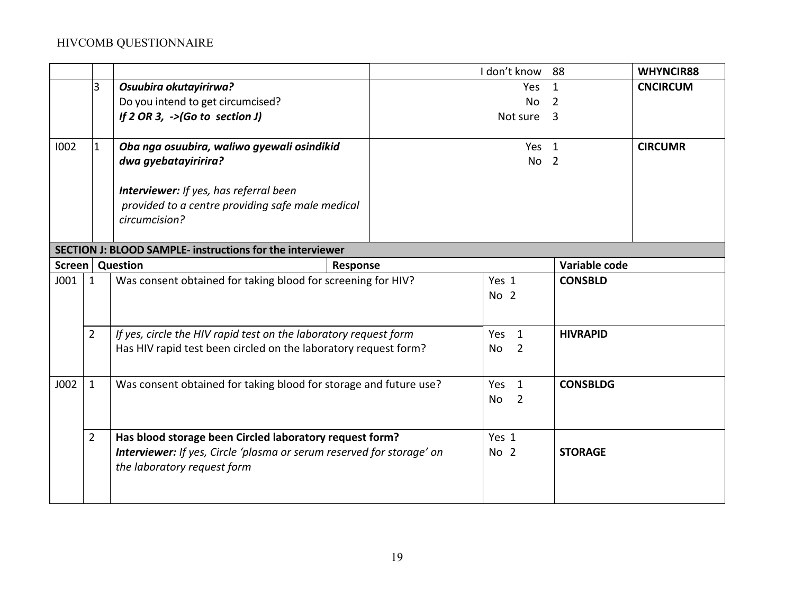|      |                           |                                                                              |          | I don't know                | 88              | WHYNCIR88       |
|------|---------------------------|------------------------------------------------------------------------------|----------|-----------------------------|-----------------|-----------------|
|      | 3                         | Osuubira okutayirirwa?                                                       |          | Yes                         | 1               | <b>CNCIRCUM</b> |
|      |                           | Do you intend to get circumcised?                                            |          | No                          | 2               |                 |
|      |                           | If $2$ OR 3, $\rightarrow$ (Go to section J)                                 |          | Not sure 3                  |                 |                 |
|      |                           |                                                                              |          |                             |                 |                 |
| 1002 | 1                         | Oba nga osuubira, waliwo gyewali osindikid                                   |          | Yes <sub>1</sub>            |                 | <b>CIRCUMR</b>  |
|      |                           | dwa gyebatayiririra?                                                         |          | No <sub>2</sub>             |                 |                 |
|      |                           |                                                                              |          |                             |                 |                 |
|      |                           | <b>Interviewer:</b> If yes, has referral been                                |          |                             |                 |                 |
|      |                           | provided to a centre providing safe male medical                             |          |                             |                 |                 |
|      |                           | circumcision?                                                                |          |                             |                 |                 |
|      |                           | SECTION J: BLOOD SAMPLE- instructions for the interviewer                    |          |                             |                 |                 |
|      | Screen<br><b>Question</b> |                                                                              | Response |                             | Variable code   |                 |
| J001 | $\mathbf{1}$              | Was consent obtained for taking blood for screening for HIV?                 |          | Yes 1                       | <b>CONSBLD</b>  |                 |
|      |                           |                                                                              |          | No 2                        |                 |                 |
|      |                           |                                                                              |          |                             |                 |                 |
|      | $\overline{2}$            | If yes, circle the HIV rapid test on the laboratory request form             |          | Yes 1                       | <b>HIVRAPID</b> |                 |
|      |                           | Has HIV rapid test been circled on the laboratory request form?              |          | <b>No</b><br>$\overline{2}$ |                 |                 |
|      |                           |                                                                              |          |                             |                 |                 |
| J002 | $\mathbf{1}$              | Was consent obtained for taking blood for storage and future use?            |          | Yes <sub>1</sub>            | <b>CONSBLDG</b> |                 |
|      |                           |                                                                              |          | No<br>$\overline{2}$        |                 |                 |
|      |                           |                                                                              |          |                             |                 |                 |
|      | $\overline{2}$            | Has blood storage been Circled laboratory request form?                      |          | Yes 1                       |                 |                 |
|      |                           | <b>Interviewer:</b> If yes, Circle 'plasma or serum reserved for storage' on |          | No <sub>2</sub>             | <b>STORAGE</b>  |                 |
|      |                           | the laboratory request form                                                  |          |                             |                 |                 |
|      |                           |                                                                              |          |                             |                 |                 |
|      |                           |                                                                              |          |                             |                 |                 |